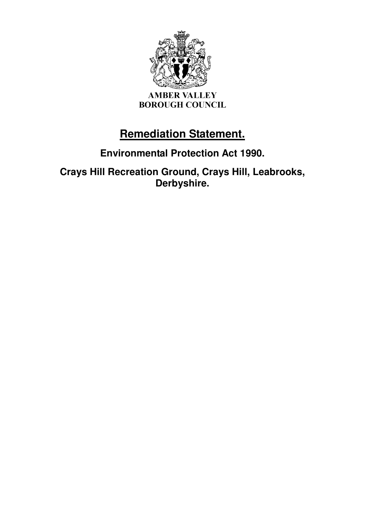

# **Remediation Statement.**

# **Environmental Protection Act 1990.**

**Crays Hill Recreation Ground, Crays Hill, Leabrooks, Derbyshire.**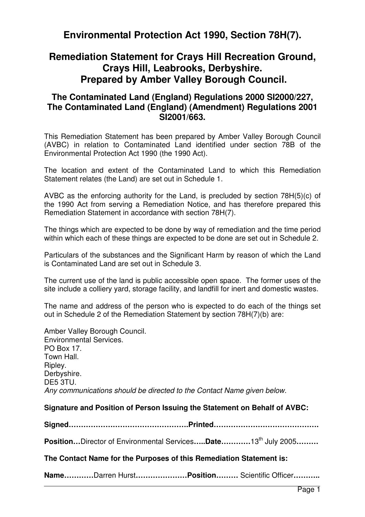# **Environmental Protection Act 1990, Section 78H(7).**

## **Remediation Statement for Crays Hill Recreation Ground, Crays Hill, Leabrooks, Derbyshire. Prepared by Amber Valley Borough Council.**

### **The Contaminated Land (England) Regulations 2000 SI2000/227, The Contaminated Land (England) (Amendment) Regulations 2001 SI2001/663.**

This Remediation Statement has been prepared by Amber Valley Borough Council (AVBC) in relation to Contaminated Land identified under section 78B of the Environmental Protection Act 1990 (the 1990 Act).

The location and extent of the Contaminated Land to which this Remediation Statement relates (the Land) are set out in Schedule 1.

AVBC as the enforcing authority for the Land, is precluded by section 78H(5)(c) of the 1990 Act from serving a Remediation Notice, and has therefore prepared this Remediation Statement in accordance with section 78H(7).

The things which are expected to be done by way of remediation and the time period within which each of these things are expected to be done are set out in Schedule 2.

Particulars of the substances and the Significant Harm by reason of which the Land is Contaminated Land are set out in Schedule 3.

The current use of the land is public accessible open space. The former uses of the site include a colliery vard, storage facility, and landfill for inert and domestic wastes.

The name and address of the person who is expected to do each of the things set out in Schedule 2 of the Remediation Statement by section 78H(7)(b) are:

Amber Valley Borough Council. Environmental Services. PO Box 17. Town Hall. Ripley. Derbyshire. DE5 3TU. Any communications should be directed to the Contact Name given below.

### **Signature and Position of Person Issuing the Statement on Behalf of AVBC:**

**Signed………………………………………….Printed…………………………………….** 

**Position…**Director of Environmental Services**…..Date…………**13th July 2005**………**

### **The Contact Name for the Purposes of this Remediation Statement is:**

**Name…………**Darren Hurst**…………………Position………** Scientific Officer**………..**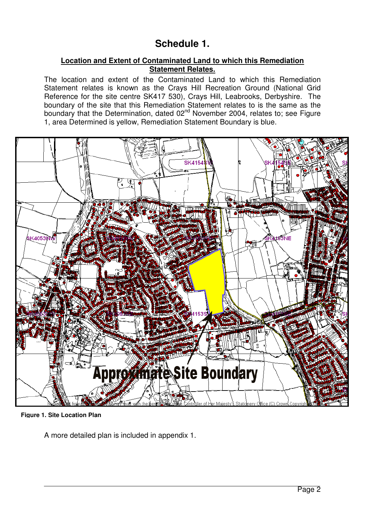# **Schedule 1.**

### **Location and Extent of Contaminated Land to which this Remediation Statement Relates.**

The location and extent of the Contaminated Land to which this Remediation Statement relates is known as the Crays Hill Recreation Ground (National Grid Reference for the site centre SK417 530), Crays Hill, Leabrooks, Derbyshire. The boundary of the site that this Remediation Statement relates to is the same as the boundary that the Determination, dated 02nd November 2004, relates to; see Figure 1, area Determined is yellow, Remediation Statement Boundary is blue.



**Figure 1. Site Location Plan**

A more detailed plan is included in appendix 1.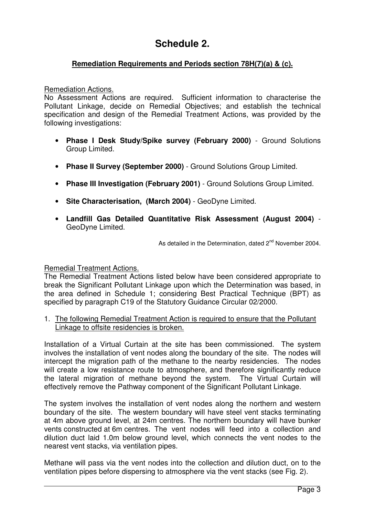# **Schedule 2.**

### **Remediation Requirements and Periods section 78H(7)(a) & (c).**

#### Remediation Actions.

No Assessment Actions are required. Sufficient information to characterise the Pollutant Linkage, decide on Remedial Objectives; and establish the technical specification and design of the Remedial Treatment Actions, was provided by the following investigations:

- **Phase I Desk Study/Spike survey (February 2000)**  Ground Solutions Group Limited.
- **Phase II Survey (September 2000)**  Ground Solutions Group Limited.
- **Phase III Investigation (February 2001)**  Ground Solutions Group Limited.
- **Site Characterisation, (March 2004)**  GeoDyne Limited.
- **Landfill Gas Detailed Quantitative Risk Assessment (August 2004)** GeoDyne Limited.

As detailed in the Determination, dated 2<sup>nd</sup> November 2004.

### Remedial Treatment Actions.

The Remedial Treatment Actions listed below have been considered appropriate to break the Significant Pollutant Linkage upon which the Determination was based, in the area defined in Schedule 1; considering Best Practical Technique (BPT) as specified by paragraph C19 of the Statutory Guidance Circular 02/2000.

#### 1. The following Remedial Treatment Action is required to ensure that the Pollutant Linkage to offsite residencies is broken.

Installation of a Virtual Curtain at the site has been commissioned. The system involves the installation of vent nodes along the boundary of the site. The nodes will intercept the migration path of the methane to the nearby residencies. The nodes will create a low resistance route to atmosphere, and therefore significantly reduce the lateral migration of methane beyond the system. The Virtual Curtain will effectively remove the Pathway component of the Significant Pollutant Linkage.

The system involves the installation of vent nodes along the northern and western boundary of the site. The western boundary will have steel vent stacks terminating at 4m above ground level, at 24m centres. The northern boundary will have bunker vents constructed at 6m centres. The vent nodes will feed into a collection and dilution duct laid 1.0m below ground level, which connects the vent nodes to the nearest vent stacks, via ventilation pipes.

Methane will pass via the vent nodes into the collection and dilution duct, on to the ventilation pipes before dispersing to atmosphere via the vent stacks (see Fig. 2).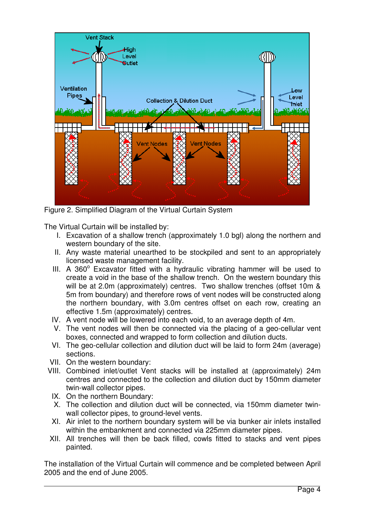

Figure 2. Simplified Diagram of the Virtual Curtain System

The Virtual Curtain will be installed by:

- I. Excavation of a shallow trench (approximately 1.0 bgl) along the northern and western boundary of the site.
- II. Any waste material unearthed to be stockpiled and sent to an appropriately licensed waste management facility.
- III. A 360° Excavator fitted with a hydraulic vibrating hammer will be used to create a void in the base of the shallow trench. On the western boundary this will be at 2.0m (approximately) centres. Two shallow trenches (offset 10m & 5m from boundary) and therefore rows of vent nodes will be constructed along the northern boundary, with 3.0m centres offset on each row, creating an effective 1.5m (approximately) centres.
- IV. A vent node will be lowered into each void, to an average depth of 4m.
- V. The vent nodes will then be connected via the placing of a geo-cellular vent boxes, connected and wrapped to form collection and dilution ducts.
- VI. The geo-cellular collection and dilution duct will be laid to form 24m (average) sections.
- VII. On the western boundary:
- VIII. Combined inlet/outlet Vent stacks will be installed at (approximately) 24m centres and connected to the collection and dilution duct by 150mm diameter twin-wall collector pipes.
	- IX. On the northern Boundary:
	- X. The collection and dilution duct will be connected, via 150mm diameter twinwall collector pipes, to ground-level vents.
	- XI. Air inlet to the northern boundary system will be via bunker air inlets installed within the embankment and connected via 225mm diameter pipes.
- XII. All trenches will then be back filled, cowls fitted to stacks and vent pipes painted.

The installation of the Virtual Curtain will commence and be completed between April 2005 and the end of June 2005.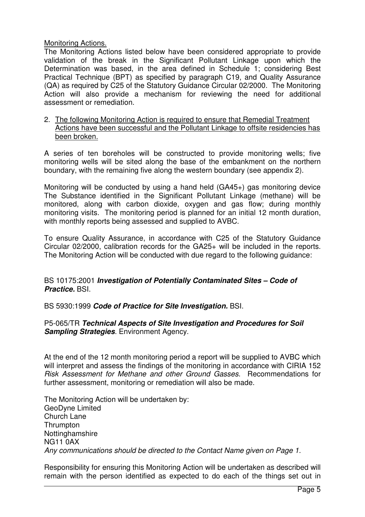### Monitoring Actions.

The Monitoring Actions listed below have been considered appropriate to provide validation of the break in the Significant Pollutant Linkage upon which the Determination was based, in the area defined in Schedule 1; considering Best Practical Technique (BPT) as specified by paragraph C19, and Quality Assurance (QA) as required by C25 of the Statutory Guidance Circular 02/2000. The Monitoring Action will also provide a mechanism for reviewing the need for additional assessment or remediation.

2. The following Monitoring Action is required to ensure that Remedial Treatment Actions have been successful and the Pollutant Linkage to offsite residencies has been broken.

A series of ten boreholes will be constructed to provide monitoring wells; five monitoring wells will be sited along the base of the embankment on the northern boundary, with the remaining five along the western boundary (see appendix 2).

Monitoring will be conducted by using a hand held (GA45+) gas monitoring device The Substance identified in the Significant Pollutant Linkage (methane) will be monitored, along with carbon dioxide, oxygen and gas flow; during monthly monitoring visits. The monitoring period is planned for an initial 12 month duration, with monthly reports being assessed and supplied to AVBC.

To ensure Quality Assurance, in accordance with C25 of the Statutory Guidance Circular 02/2000, calibration records for the GA25+ will be included in the reports. The Monitoring Action will be conducted with due regard to the following guidance:

### BS 10175:2001 **Investigation of Potentially Contaminated Sites – Code of Practice.** BSI.

BS 5930:1999 **Code of Practice for Site Investigation.** BSI.

### P5-065/TR **Technical Aspects of Site Investigation and Procedures for Soil Sampling Strategies**. Environment Agency.

At the end of the 12 month monitoring period a report will be supplied to AVBC which will interpret and assess the findings of the monitoring in accordance with CIRIA 152 Risk Assessment for Methane and other Ground Gasses. Recommendations for further assessment, monitoring or remediation will also be made.

The Monitoring Action will be undertaken by: GeoDyne Limited Church Lane **Thrumpton Nottinghamshire** NG11 0AX Any communications should be directed to the Contact Name given on Page 1.

Responsibility for ensuring this Monitoring Action will be undertaken as described will remain with the person identified as expected to do each of the things set out in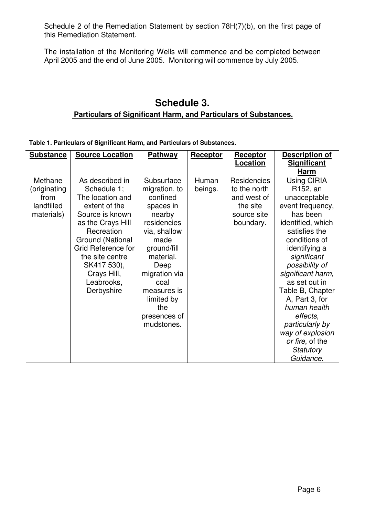Schedule 2 of the Remediation Statement by section 78H(7)(b), on the first page of this Remediation Statement.

The installation of the Monitoring Wells will commence and be completed between April 2005 and the end of June 2005. Monitoring will commence by July 2005.

### **Schedule 3. Particulars of Significant Harm, and Particulars of Substances.**

**Table 1. Particulars of Significant Harm, and Particulars of Substances.** 

| <b>Substance</b>                                            | <b>Source Location</b>                                                                                                                                                                                                                           | <b>Pathway</b>                                                                                                                                                                                                                       | Receptor         | Receptor<br><u>Location</u>                                                               | Description of<br><b>Significant</b><br>Harm                                                                                                                                                                                                                                                                                                                                                     |
|-------------------------------------------------------------|--------------------------------------------------------------------------------------------------------------------------------------------------------------------------------------------------------------------------------------------------|--------------------------------------------------------------------------------------------------------------------------------------------------------------------------------------------------------------------------------------|------------------|-------------------------------------------------------------------------------------------|--------------------------------------------------------------------------------------------------------------------------------------------------------------------------------------------------------------------------------------------------------------------------------------------------------------------------------------------------------------------------------------------------|
| Methane<br>(originating<br>from<br>landfilled<br>materials) | As described in<br>Schedule 1;<br>The location and<br>extent of the<br>Source is known<br>as the Crays Hill<br>Recreation<br>Ground (National<br>Grid Reference for<br>the site centre<br>SK417 530),<br>Crays Hill,<br>Leabrooks,<br>Derbyshire | Subsurface<br>migration, to<br>confined<br>spaces in<br>nearby<br>residencies<br>via, shallow<br>made<br>ground/fill<br>material.<br>Deep<br>migration via<br>coal<br>measures is<br>limited by<br>the<br>presences of<br>mudstones. | Human<br>beings. | <b>Residencies</b><br>to the north<br>and west of<br>the site<br>source site<br>boundary. | <b>Using CIRIA</b><br>R <sub>152</sub> , an<br>unacceptable<br>event frequency,<br>has been<br>identified, which<br>satisfies the<br>conditions of<br>identifying a<br>significant<br>possibility of<br>significant harm,<br>as set out in<br>Table B, Chapter<br>A, Part 3, for<br>human health<br>effects,<br>particularly by<br>way of explosion<br>or fire, of the<br>Statutory<br>Guidance. |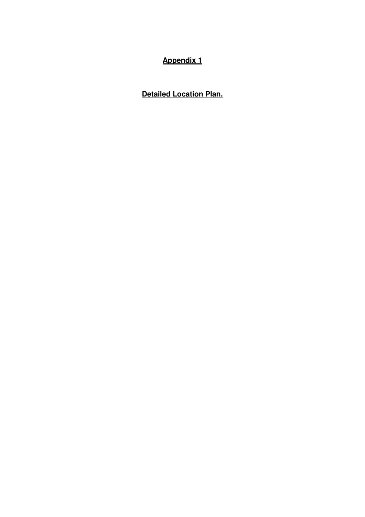# **Appendix 1**

**Detailed Location Plan.**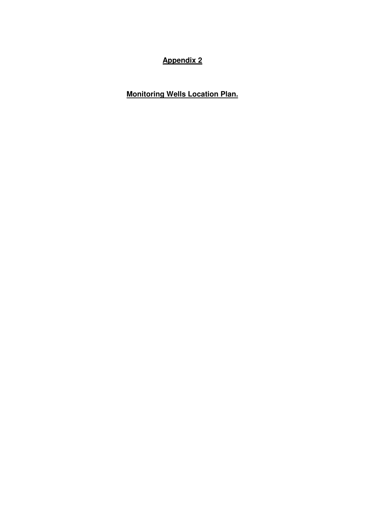## **Appendix 2**

**Monitoring Wells Location Plan.**